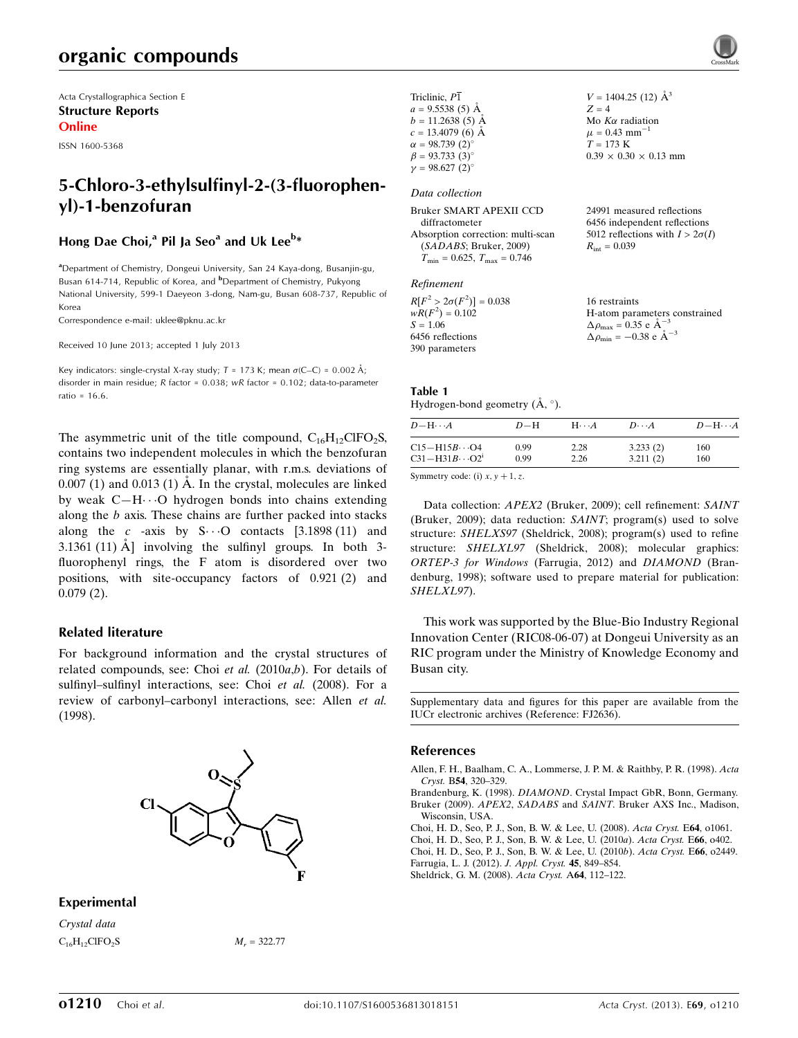## organic compounds

Acta Crystallographica Section E Structure Reports Online

ISSN 1600-5368

## 5-Chloro-3-ethylsulfinyl-2-(3-fluorophenyl)-1-benzofuran

#### Hong Dae Choi,<sup>a</sup> Pil Ja Seo<sup>a</sup> and Uk Lee<sup>b</sup>\*

<sup>a</sup> Department of Chemistry, Dongeui University, San 24 Kaya-dong, Busanjin-gu, Busan 614-714, Republic of Korea, and <sup>b</sup>Department of Chemistry, Pukyong National University, 599-1 Daeyeon 3-dong, Nam-gu, Busan 608-737, Republic of Korea

Correspondence e-mail: [uklee@pknu.ac.kr](https://scripts.iucr.org/cgi-bin/cr.cgi?rm=pdfbb&cnor=fj2636&bbid=BB8)

Received 10 June 2013; accepted 1 July 2013

Key indicators: single-crystal X-ray study;  $T = 173$  K; mean  $\sigma$ (C–C) = 0.002 Å; disorder in main residue; R factor = 0.038; wR factor = 0.102; data-to-parameter ratio =  $16.6$ .

The asymmetric unit of the title compound,  $C_{16}H_{12}C$  IFO<sub>2</sub>S, contains two independent molecules in which the benzofuran ring systems are essentially planar, with r.m.s. deviations of  $0.007(1)$  and  $0.013(1)$  Å. In the crystal, molecules are linked by weak C-H $\cdots$ O hydrogen bonds into chains extending along the b axis. These chains are further packed into stacks along the c -axis by  $S \cdots O$  contacts [3.1898 (11) and 3.1361 (11)  $\AA$  involving the sulfinyl groups. In both 3fluorophenyl rings, the F atom is disordered over two positions, with site-occupancy factors of 0.921 (2) and 0.079 (2).

#### Related literature

For background information and the crystal structures of related compounds, see: Choi et al.  $(2010a,b)$ . For details of sulfinyl–sulfinyl interactions, see: Choi et al. (2008). For a review of carbonyl–carbonyl interactions, see: Allen et al. (1998).



#### Experimental

Crystal data  $C_{16}H_{12}CIFO_2S$   $M_r = 322.77$  Triclinic,  $P\overline{1}$  $a = 9.5538(5)$  Å  $b = 11.2638(5)$  Å  $c = 13.4079$  (6) Å  $\alpha = 98.739(2)$  $\beta = 93.733(3)$ °  $\gamma = 98.627 (2)$ °  $V = 1404.25$  (12)  $\AA^3$  $Z = 4$ Mo  $K\alpha$  radiation  $\mu = 0.43$  mm<sup>-1</sup>  $T = 173 K$  $0.39 \times 0.30 \times 0.13$  mm

#### Data collection

| Bruker SMART APEXII CCD                 | 24991 measured reflections             |
|-----------------------------------------|----------------------------------------|
| diffractometer                          | 6456 independent reflections           |
| Absorption correction: multi-scan       | 5012 reflections with $I > 2\sigma(I)$ |
| (SADABS; Bruker, 2009)                  | $R_{\text{int}} = 0.039$               |
| $T_{\min} = 0.625$ , $T_{\max} = 0.746$ |                                        |
|                                         |                                        |

## Refinement

| $R[F^2 > 2\sigma(F^2)] = 0.038$ | 16 restraints                                      |
|---------------------------------|----------------------------------------------------|
| $wR(F^2) = 0.102$               | H-atom parameters constrained                      |
| $S = 1.06$                      | $\Delta \rho_{\text{max}} = 0.35 \text{ e A}^{-3}$ |
| 6456 reflections                | $\Delta \rho_{\rm min} = -0.38$ e $\rm \AA^{-3}$   |
| 390 parameters                  |                                                    |

| Table 1                               |  |
|---------------------------------------|--|
| Hydrogen-bond geometry $(A, \circ)$ . |  |

| $D - H \cdots A$         | $D-H$ | $H\cdots A$ | $D\cdots A$ | $D - H \cdots A$ |
|--------------------------|-------|-------------|-------------|------------------|
| $C15 - H15B \cdots O4$   | 0.99  | 2.28        | 3.233(2)    | 160              |
| $C31 - H31B \cdots O2^i$ | 0.99  | 2.26        | 3.211(2)    | 160              |

Symmetry code: (i)  $x, y + 1, z$ .

Data collection: APEX2 (Bruker, 2009); cell refinement: SAINT (Bruker, 2009); data reduction: SAINT; program(s) used to solve structure: SHELXS97 (Sheldrick, 2008); program(s) used to refine structure: SHELXL97 (Sheldrick, 2008); molecular graphics: ORTEP-3 for Windows (Farrugia, 2012) and DIAMOND (Brandenburg, 1998); software used to prepare material for publication: SHELXL97).

This work was supported by the Blue-Bio Industry Regional Innovation Center (RIC08-06-07) at Dongeui University as an RIC program under the Ministry of Knowledge Economy and Busan city.

Supplementary data and figures for this paper are available from the IUCr electronic archives (Reference: FJ2636).

#### References

[Allen, F. H., Baalham, C. A., Lommerse, J. P. M. & Raithby, P. R. \(1998\).](https://scripts.iucr.org/cgi-bin/cr.cgi?rm=pdfbb&cnor=fj2636&bbid=BB1) Acta Cryst. B54[, 320–329.](https://scripts.iucr.org/cgi-bin/cr.cgi?rm=pdfbb&cnor=fj2636&bbid=BB1)

Brandenburg, K. (1998). DIAMOND[. Crystal Impact GbR, Bonn, Germany.](https://scripts.iucr.org/cgi-bin/cr.cgi?rm=pdfbb&cnor=fj2636&bbid=BB2) Bruker (2009). APEX2, SADABS and SAINT[. Bruker AXS Inc., Madison,](https://scripts.iucr.org/cgi-bin/cr.cgi?rm=pdfbb&cnor=fj2636&bbid=BB3) [Wisconsin, USA.](https://scripts.iucr.org/cgi-bin/cr.cgi?rm=pdfbb&cnor=fj2636&bbid=BB3)

[Choi, H. D., Seo, P. J., Son, B. W. & Lee, U. \(2008\).](https://scripts.iucr.org/cgi-bin/cr.cgi?rm=pdfbb&cnor=fj2636&bbid=BB4) Acta Cryst. E64, o1061.

- [Choi, H. D., Seo, P. J., Son, B. W. & Lee, U. \(2010](https://scripts.iucr.org/cgi-bin/cr.cgi?rm=pdfbb&cnor=fj2636&bbid=BB5)a). Acta Cryst. E66, o402.
- [Choi, H. D., Seo, P. J., Son, B. W. & Lee, U. \(2010](https://scripts.iucr.org/cgi-bin/cr.cgi?rm=pdfbb&cnor=fj2636&bbid=BB6)b). Acta Cryst. E66, o2449. [Farrugia, L. J. \(2012\).](https://scripts.iucr.org/cgi-bin/cr.cgi?rm=pdfbb&cnor=fj2636&bbid=BB7) J. Appl. Cryst. 45, 849–854.

[Sheldrick, G. M. \(2008\).](https://scripts.iucr.org/cgi-bin/cr.cgi?rm=pdfbb&cnor=fj2636&bbid=BB8) Acta Cryst. A64, 112–122.

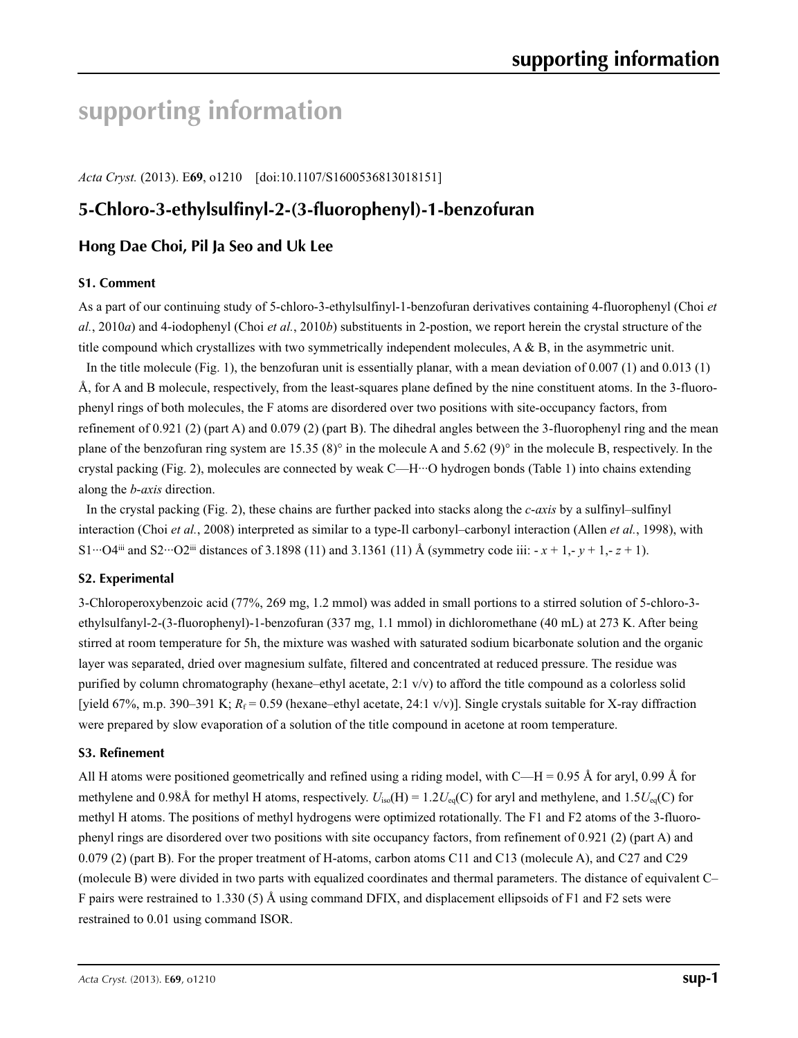# **supporting information**

*Acta Cryst.* (2013). E**69**, o1210 [doi:10.1107/S1600536813018151]

# **5-Chloro-3-ethylsulfinyl-2-(3-fluorophenyl)-1-benzofuran**

#### **Hong Dae Choi, Pil Ja Seo and Uk Lee**

#### **S1. Comment**

As a part of our continuing study of 5-chloro-3-ethylsulfinyl-1-benzofuran derivatives containing 4-fluorophenyl (Choi *et al.*, 2010*a*) and 4-iodophenyl (Choi *et al.*, 2010*b*) substituents in 2-postion, we report herein the crystal structure of the title compound which crystallizes with two symmetrically independent molecules, A & B, in the asymmetric unit.

In the title molecule (Fig. 1), the benzofuran unit is essentially planar, with a mean deviation of 0.007 (1) and 0.013 (1) Å, for A and B molecule, respectively, from the least-squares plane defined by the nine constituent atoms. In the 3-fluorophenyl rings of both molecules, the F atoms are disordered over two positions with site-occupancy factors, from refinement of 0.921 (2) (part A) and 0.079 (2) (part B). The dihedral angles between the 3-fluorophenyl ring and the mean plane of the benzofuran ring system are 15.35 (8)° in the molecule A and 5.62 (9)° in the molecule B, respectively. In the crystal packing (Fig. 2), molecules are connected by weak C—H···O hydrogen bonds (Table 1) into chains extending along the *b*-*axis* direction.

In the crystal packing (Fig. 2), these chains are further packed into stacks along the *c*-*axis* by a sulfinyl–sulfinyl interaction (Choi *et al.*, 2008) interpreted as similar to a type-Il carbonyl–carbonyl interaction (Allen *et al.*, 1998), with S1···O4<sup>iii</sup> and S2···O2<sup>iii</sup> distances of 3.1898 (11) and 3.1361 (11) Å (symmetry code iii:  $-x + 1, -y + 1, -z + 1$ ).

#### **S2. Experimental**

3-Chloroperoxybenzoic acid (77%, 269 mg, 1.2 mmol) was added in small portions to a stirred solution of 5-chloro-3 ethylsulfanyl-2-(3-fluorophenyl)-1-benzofuran (337 mg, 1.1 mmol) in dichloromethane (40 mL) at 273 K. After being stirred at room temperature for 5h, the mixture was washed with saturated sodium bicarbonate solution and the organic layer was separated, dried over magnesium sulfate, filtered and concentrated at reduced pressure. The residue was purified by column chromatography (hexane–ethyl acetate, 2:1 v/v) to afford the title compound as a colorless solid [yield 67%, m.p. 390–391 K;  $R_f = 0.59$  (hexane–ethyl acetate, 24:1 v/v)]. Single crystals suitable for X-ray diffraction were prepared by slow evaporation of a solution of the title compound in acetone at room temperature.

#### **S3. Refinement**

All H atoms were positioned geometrically and refined using a riding model, with C—H = 0.95 Å for aryl, 0.99 Å for methylene and 0.98Å for methyl H atoms, respectively.  $U_{iso}(H) = 1.2U_{eq}(C)$  for aryl and methylene, and  $1.5U_{eq}(C)$  for methyl H atoms. The positions of methyl hydrogens were optimized rotationally. The F1 and F2 atoms of the 3-fluorophenyl rings are disordered over two positions with site occupancy factors, from refinement of 0.921 (2) (part A) and 0.079 (2) (part B). For the proper treatment of H-atoms, carbon atoms C11 and C13 (molecule A), and C27 and C29 (molecule B) were divided in two parts with equalized coordinates and thermal parameters. The distance of equivalent C– F pairs were restrained to 1.330 (5) Å using command DFIX, and displacement ellipsoids of F1 and F2 sets were restrained to 0.01 using command ISOR.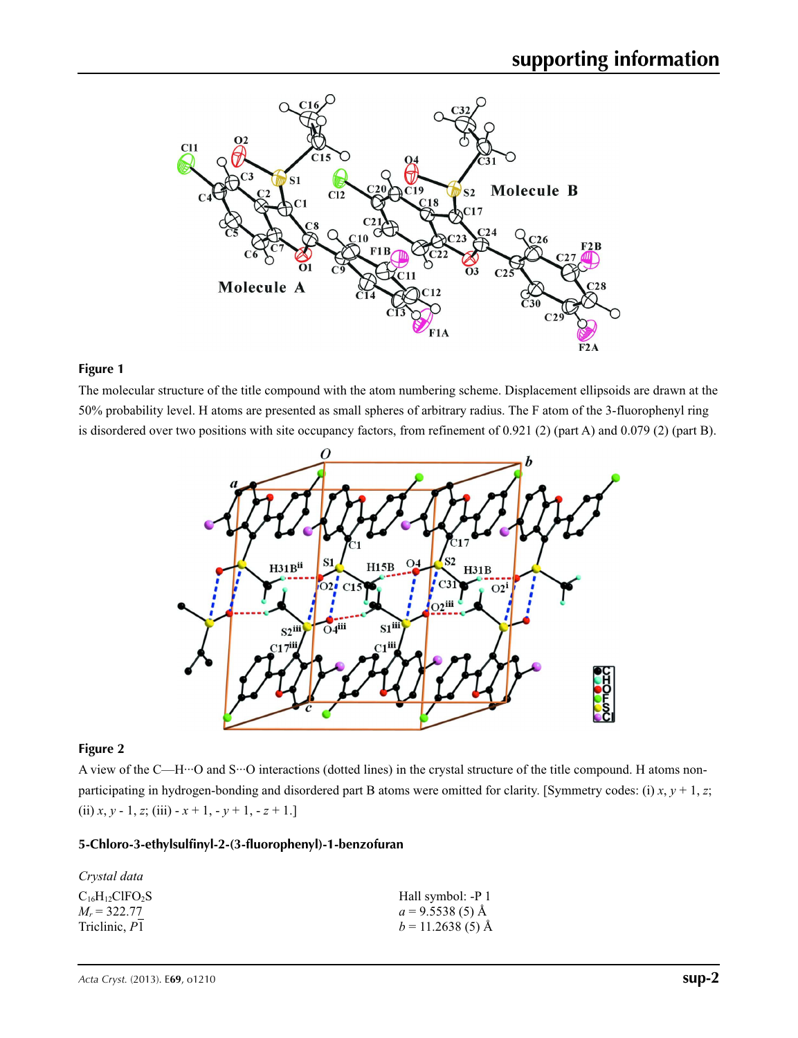

#### **Figure 1**

The molecular structure of the title compound with the atom numbering scheme. Displacement ellipsoids are drawn at the 50% probability level. H atoms are presented as small spheres of arbitrary radius. The F atom of the 3-fluorophenyl ring is disordered over two positions with site occupancy factors, from refinement of 0.921 (2) (part A) and 0.079 (2) (part B).



#### **Figure 2**

A view of the C—H···O and S···O interactions (dotted lines) in the crystal structure of the title compound. H atoms nonparticipating in hydrogen-bonding and disordered part B atoms were omitted for clarity. [Symmetry codes: (i) *x*, *y* + 1, *z*; (ii)  $x, y - 1, z$ ; (iii)  $-x + 1, -y + 1, -z + 1$ .]

#### **5-Chloro-3-ethylsulfinyl-2-(3-fluorophenyl)-1-benzofuran**

| Hall symbol: -P 1  |
|--------------------|
| $a = 9.5538(5)$ Å  |
| $b = 11.2638(5)$ Å |
|                    |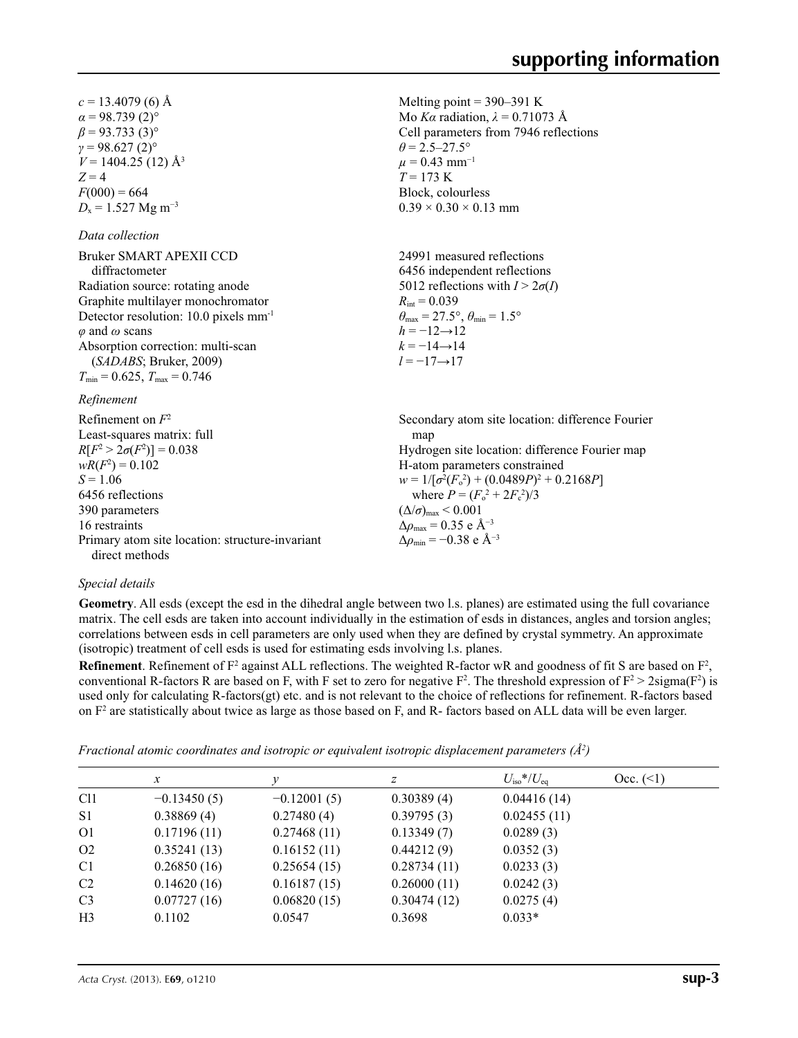Melting point  $= 390 - 391$  K Mo *Kα* radiation,  $\lambda = 0.71073$  Å Cell parameters from 7946 reflections

 $\theta = 2.5 - 27.5^{\circ}$  $\mu$  = 0.43 mm<sup>-1</sup>  $T = 173 \text{ K}$ Block, colourless  $0.39 \times 0.30 \times 0.13$  mm

 $c = 13.4079$  (6) Å  $\alpha$  = 98.739 (2)<sup>o</sup>  $\beta$  = 93.733 (3)<sup>o</sup>  $γ = 98.627(2)°$  $V = 1404.25$  (12) Å<sup>3</sup>  $Z = 4$  $F(000) = 664$  $D_x = 1.527$  Mg m<sup>-3</sup>

#### *Data collection*

| <b>Bruker SMART APEXII CCD</b>                    | 24991 measured reflections                                              |
|---------------------------------------------------|-------------------------------------------------------------------------|
| diffractometer                                    | 6456 independent reflections                                            |
| Radiation source: rotating anode                  | 5012 reflections with $I > 2\sigma(I)$                                  |
| Graphite multilayer monochromator                 | $R_{\text{int}} = 0.039$                                                |
| Detector resolution: 10.0 pixels mm <sup>-1</sup> | $\theta_{\text{max}} = 27.5^{\circ}, \theta_{\text{min}} = 1.5^{\circ}$ |
| $\varphi$ and $\omega$ scans                      | $h = -12 \rightarrow 12$                                                |
| Absorption correction: multi-scan                 | $k = -14 \rightarrow 14$                                                |
| (SADABS; Bruker, 2009)                            | $l = -17 \rightarrow 17$                                                |
| $T_{\min}$ = 0.625, $T_{\max}$ = 0.746            |                                                                         |
| $\mathbf{p}$ $\alpha$ $\beta$                     |                                                                         |

#### *Refinement*

| Refinement on $F^2$                             | Secondary atom site location: difference Fourier         |
|-------------------------------------------------|----------------------------------------------------------|
| Least-squares matrix: full                      | map                                                      |
| $R[F^2 > 2\sigma(F^2)] = 0.038$                 | Hydrogen site location: difference Fourier map           |
| $wR(F^2) = 0.102$                               | H-atom parameters constrained                            |
| $S = 1.06$                                      | $w = 1/[\sigma^2(F_0^2) + (0.0489P)^2 + 0.2168P]$        |
| 6456 reflections                                | where $P = (F_o^2 + 2F_c^2)/3$                           |
| 390 parameters                                  | $(\Delta/\sigma)_{\text{max}}$ < 0.001                   |
| 16 restraints                                   | $\Delta\rho_{\rm max} = 0.35 \text{ e } \text{\AA}^{-3}$ |
| Primary atom site location: structure-invariant | $\Delta\rho_{\rm min} = -0.38 \text{ e A}^{-3}$          |
| direct methods                                  |                                                          |

#### *Special details*

**Geometry**. All esds (except the esd in the dihedral angle between two l.s. planes) are estimated using the full covariance matrix. The cell esds are taken into account individually in the estimation of esds in distances, angles and torsion angles; correlations between esds in cell parameters are only used when they are defined by crystal symmetry. An approximate (isotropic) treatment of cell esds is used for estimating esds involving l.s. planes.

**Refinement**. Refinement of  $F^2$  against ALL reflections. The weighted R-factor wR and goodness of fit S are based on  $F^2$ , conventional R-factors R are based on F, with F set to zero for negative  $F^2$ . The threshold expression of  $F^2 > 2 \text{sigma}(F^2)$  is used only for calculating R-factors(gt) etc. and is not relevant to the choice of reflections for refinement. R-factors based on  $F<sup>2</sup>$  are statistically about twice as large as those based on F, and R- factors based on ALL data will be even larger.

| Fractional atomic coordinates and isotropic or equivalent isotropic displacement parameters $(A^2)$ |  |  |
|-----------------------------------------------------------------------------------------------------|--|--|
|                                                                                                     |  |  |

|                 | $\mathcal{X}$ |               | Ζ           | $U_{\rm iso} * / U_{\rm eq}$ | Occ. (2) |
|-----------------|---------------|---------------|-------------|------------------------------|----------|
| C <sub>11</sub> | $-0.13450(5)$ | $-0.12001(5)$ | 0.30389(4)  | 0.04416(14)                  |          |
| S <sub>1</sub>  | 0.38869(4)    | 0.27480(4)    | 0.39795(3)  | 0.02455(11)                  |          |
| O <sub>1</sub>  | 0.17196(11)   | 0.27468(11)   | 0.13349(7)  | 0.0289(3)                    |          |
| O <sub>2</sub>  | 0.35241(13)   | 0.16152(11)   | 0.44212(9)  | 0.0352(3)                    |          |
| C <sub>1</sub>  | 0.26850(16)   | 0.25654(15)   | 0.28734(11) | 0.0233(3)                    |          |
| C <sub>2</sub>  | 0.14620(16)   | 0.16187(15)   | 0.26000(11) | 0.0242(3)                    |          |
| C <sub>3</sub>  | 0.07727(16)   | 0.06820(15)   | 0.30474(12) | 0.0275(4)                    |          |
| H <sub>3</sub>  | 0.1102        | 0.0547        | 0.3698      | $0.033*$                     |          |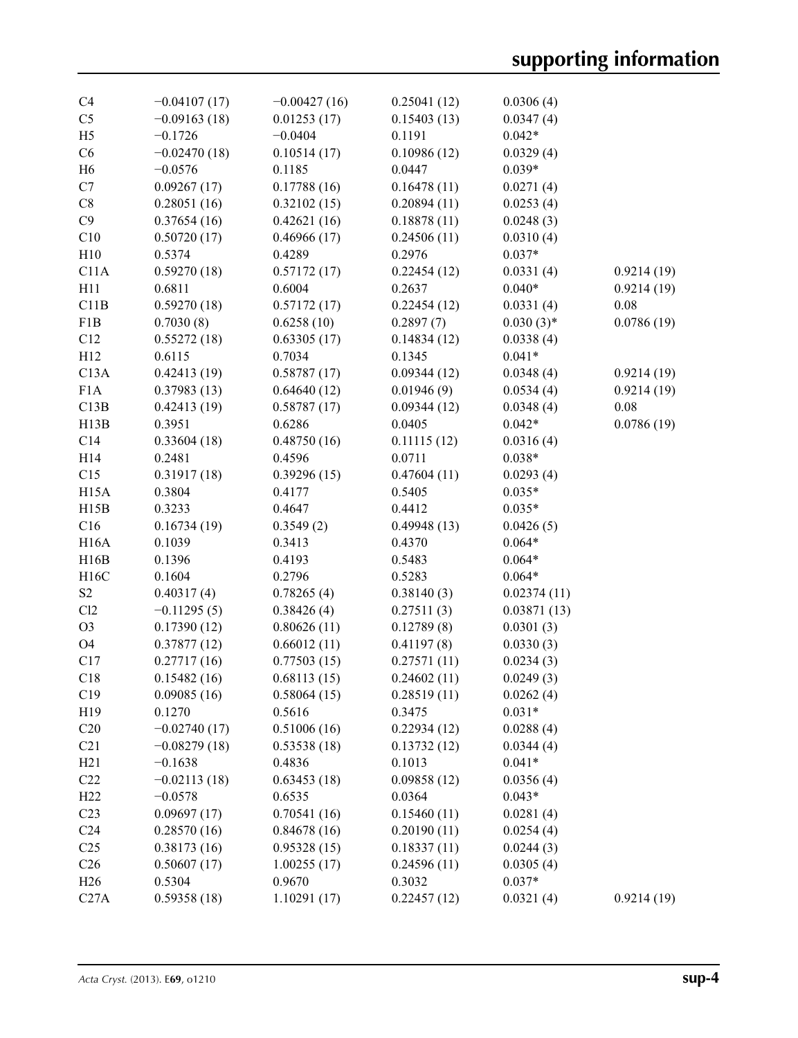| C <sub>4</sub>    | $-0.04107(17)$ | $-0.00427(16)$ | 0.25041(12) | 0.0306(4)   |            |
|-------------------|----------------|----------------|-------------|-------------|------------|
| C <sub>5</sub>    | $-0.09163(18)$ | 0.01253(17)    | 0.15403(13) | 0.0347(4)   |            |
| H <sub>5</sub>    | $-0.1726$      | $-0.0404$      | 0.1191      | $0.042*$    |            |
| C6                | $-0.02470(18)$ | 0.10514(17)    | 0.10986(12) | 0.0329(4)   |            |
| H <sub>6</sub>    | $-0.0576$      | 0.1185         | 0.0447      | $0.039*$    |            |
| C7                | 0.09267(17)    | 0.17788(16)    | 0.16478(11) | 0.0271(4)   |            |
| C8                | 0.28051(16)    | 0.32102(15)    | 0.20894(11) | 0.0253(4)   |            |
| C9                | 0.37654(16)    | 0.42621(16)    | 0.18878(11) | 0.0248(3)   |            |
| C10               | 0.50720(17)    | 0.46966(17)    | 0.24506(11) | 0.0310(4)   |            |
| H10               | 0.5374         | 0.4289         | 0.2976      | $0.037*$    |            |
| C11A              | 0.59270(18)    | 0.57172(17)    | 0.22454(12) | 0.0331(4)   | 0.9214(19) |
| H11               | 0.6811         | 0.6004         | 0.2637      | $0.040*$    | 0.9214(19) |
| C11B              | 0.59270(18)    | 0.57172(17)    | 0.22454(12) | 0.0331(4)   | 0.08       |
| F1B               | 0.7030(8)      | 0.6258(10)     | 0.2897(7)   | $0.030(3)*$ | 0.0786(19) |
| C12               | 0.55272(18)    | 0.63305(17)    | 0.14834(12) | 0.0338(4)   |            |
| H12               | 0.6115         | 0.7034         | 0.1345      | $0.041*$    |            |
| C13A              | 0.42413(19)    | 0.58787(17)    | 0.09344(12) | 0.0348(4)   | 0.9214(19) |
| F1A               | 0.37983(13)    | 0.64640(12)    | 0.01946(9)  | 0.0534(4)   | 0.9214(19) |
| C13B              | 0.42413(19)    | 0.58787(17)    | 0.09344(12) | 0.0348(4)   | 0.08       |
| H13B              | 0.3951         | 0.6286         | 0.0405      | $0.042*$    | 0.0786(19) |
| C14               | 0.33604(18)    | 0.48750(16)    | 0.11115(12) | 0.0316(4)   |            |
| H14               | 0.2481         | 0.4596         | 0.0711      | $0.038*$    |            |
| C15               | 0.31917(18)    | 0.39296(15)    | 0.47604(11) | 0.0293(4)   |            |
| H <sub>15</sub> A | 0.3804         | 0.4177         | 0.5405      | $0.035*$    |            |
| H15B              | 0.3233         | 0.4647         | 0.4412      | $0.035*$    |            |
| C16               | 0.16734(19)    | 0.3549(2)      | 0.49948(13) | 0.0426(5)   |            |
| <b>H16A</b>       | 0.1039         | 0.3413         | 0.4370      | $0.064*$    |            |
| H16B              | 0.1396         | 0.4193         | 0.5483      | $0.064*$    |            |
| H16C              | 0.1604         | 0.2796         | 0.5283      | $0.064*$    |            |
| S <sub>2</sub>    | 0.40317(4)     | 0.78265(4)     | 0.38140(3)  | 0.02374(11) |            |
| Cl2               | $-0.11295(5)$  | 0.38426(4)     | 0.27511(3)  | 0.03871(13) |            |
| O <sub>3</sub>    | 0.17390(12)    | 0.80626(11)    | 0.12789(8)  | 0.0301(3)   |            |
| O4                | 0.37877(12)    | 0.66012(11)    | 0.41197(8)  | 0.0330(3)   |            |
| C17               | 0.27717(16)    | 0.77503(15)    | 0.27571(11) | 0.0234(3)   |            |
| C18               | 0.15482(16)    | 0.68113(15)    | 0.24602(11) | 0.0249(3)   |            |
| C19               | 0.09085(16)    | 0.58064(15)    | 0.28519(11) | 0.0262(4)   |            |
| H <sub>19</sub>   | 0.1270         | 0.5616         | 0.3475      | $0.031*$    |            |
| C20               | $-0.02740(17)$ | 0.51006(16)    | 0.22934(12) | 0.0288(4)   |            |
| C21               | $-0.08279(18)$ | 0.53538(18)    | 0.13732(12) | 0.0344(4)   |            |
| H21               | $-0.1638$      | 0.4836         | 0.1013      | $0.041*$    |            |
| C22               | $-0.02113(18)$ | 0.63453(18)    | 0.09858(12) | 0.0356(4)   |            |
| H <sub>22</sub>   | $-0.0578$      | 0.6535         | 0.0364      | $0.043*$    |            |
| C <sub>23</sub>   | 0.09697(17)    | 0.70541(16)    | 0.15460(11) | 0.0281(4)   |            |
| C <sub>24</sub>   | 0.28570(16)    | 0.84678(16)    | 0.20190(11) | 0.0254(4)   |            |
| C <sub>25</sub>   | 0.38173(16)    | 0.95328(15)    | 0.18337(11) | 0.0244(3)   |            |
| C <sub>26</sub>   | 0.50607(17)    | 1.00255(17)    | 0.24596(11) | 0.0305(4)   |            |
| H <sub>26</sub>   | 0.5304         | 0.9670         | 0.3032      | $0.037*$    |            |
| C27A              | 0.59358(18)    | 1.10291(17)    | 0.22457(12) | 0.0321(4)   | 0.9214(19) |
|                   |                |                |             |             |            |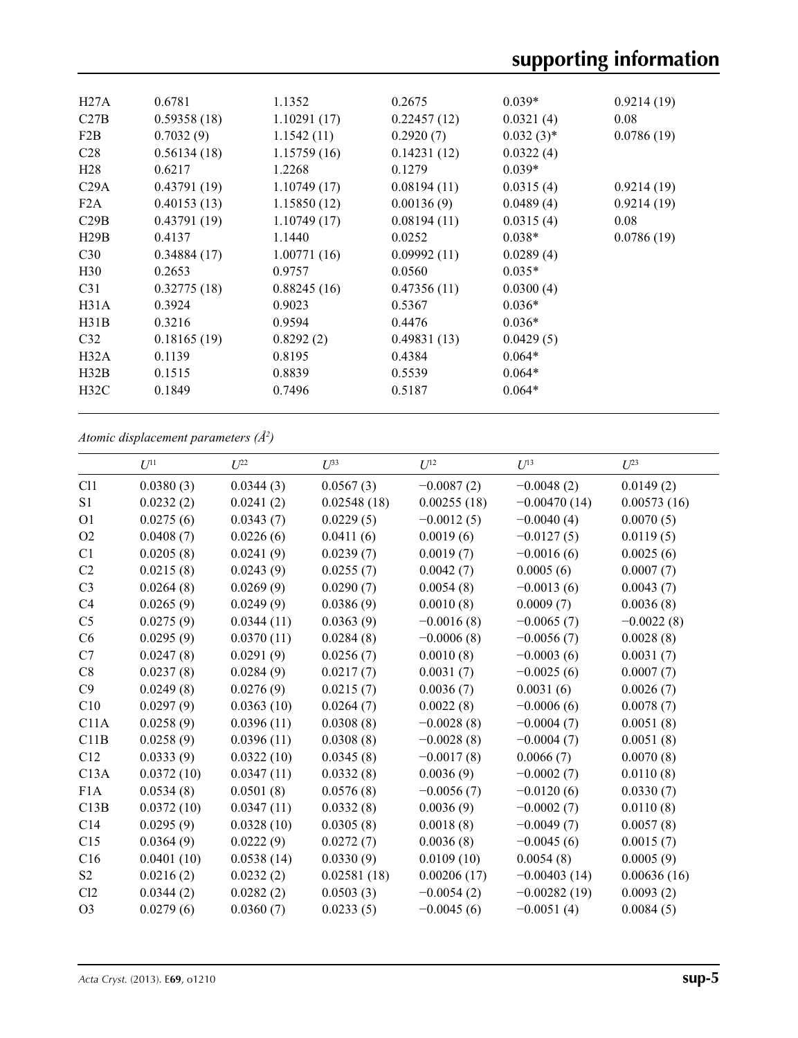| H27A             | 0.6781      | 1.1352      | 0.2675      | $0.039*$     | 0.9214(19) |
|------------------|-------------|-------------|-------------|--------------|------------|
| C27B             | 0.59358(18) | 1.10291(17) | 0.22457(12) | 0.0321(4)    | 0.08       |
| F2B              | 0.7032(9)   | 1.1542(11)  | 0.2920(7)   | $0.032(3)$ * | 0.0786(19) |
| C <sub>28</sub>  | 0.56134(18) | 1.15759(16) | 0.14231(12) | 0.0322(4)    |            |
| H <sub>28</sub>  | 0.6217      | 1.2268      | 0.1279      | $0.039*$     |            |
| C29A             | 0.43791(19) | 1.10749(17) | 0.08194(11) | 0.0315(4)    | 0.9214(19) |
| F <sub>2</sub> A | 0.40153(13) | 1.15850(12) | 0.00136(9)  | 0.0489(4)    | 0.9214(19) |
| C29B             | 0.43791(19) | 1.10749(17) | 0.08194(11) | 0.0315(4)    | 0.08       |
| H29B             | 0.4137      | 1.1440      | 0.0252      | $0.038*$     | 0.0786(19) |
| C30              | 0.34884(17) | 1.00771(16) | 0.09992(11) | 0.0289(4)    |            |
| H <sub>30</sub>  | 0.2653      | 0.9757      | 0.0560      | $0.035*$     |            |
| C <sub>31</sub>  | 0.32775(18) | 0.88245(16) | 0.47356(11) | 0.0300(4)    |            |
| H31A             | 0.3924      | 0.9023      | 0.5367      | $0.036*$     |            |
| H31B             | 0.3216      | 0.9594      | 0.4476      | $0.036*$     |            |
| C <sub>32</sub>  | 0.18165(19) | 0.8292(2)   | 0.49831(13) | 0.0429(5)    |            |
| H32A             | 0.1139      | 0.8195      | 0.4384      | $0.064*$     |            |
| H32B             | 0.1515      | 0.8839      | 0.5539      | $0.064*$     |            |
| H32C             | 0.1849      | 0.7496      | 0.5187      | $0.064*$     |            |
|                  |             |             |             |              |            |

*Atomic displacement parameters (Å2 )*

|                 | $U^{11}$   | $U^{22}$   | $U^{33}$    | $U^{12}$     | $U^{13}$       | $U^{23}$     |
|-----------------|------------|------------|-------------|--------------|----------------|--------------|
| C11             | 0.0380(3)  | 0.0344(3)  | 0.0567(3)   | $-0.0087(2)$ | $-0.0048(2)$   | 0.0149(2)    |
| S <sub>1</sub>  | 0.0232(2)  | 0.0241(2)  | 0.02548(18) | 0.00255(18)  | $-0.00470(14)$ | 0.00573(16)  |
| O <sub>1</sub>  | 0.0275(6)  | 0.0343(7)  | 0.0229(5)   | $-0.0012(5)$ | $-0.0040(4)$   | 0.0070(5)    |
| O2              | 0.0408(7)  | 0.0226(6)  | 0.0411(6)   | 0.0019(6)    | $-0.0127(5)$   | 0.0119(5)    |
| C1              | 0.0205(8)  | 0.0241(9)  | 0.0239(7)   | 0.0019(7)    | $-0.0016(6)$   | 0.0025(6)    |
| C2              | 0.0215(8)  | 0.0243(9)  | 0.0255(7)   | 0.0042(7)    | 0.0005(6)      | 0.0007(7)    |
| C <sub>3</sub>  | 0.0264(8)  | 0.0269(9)  | 0.0290(7)   | 0.0054(8)    | $-0.0013(6)$   | 0.0043(7)    |
| C4              | 0.0265(9)  | 0.0249(9)  | 0.0386(9)   | 0.0010(8)    | 0.0009(7)      | 0.0036(8)    |
| C <sub>5</sub>  | 0.0275(9)  | 0.0344(11) | 0.0363(9)   | $-0.0016(8)$ | $-0.0065(7)$   | $-0.0022(8)$ |
| C <sub>6</sub>  | 0.0295(9)  | 0.0370(11) | 0.0284(8)   | $-0.0006(8)$ | $-0.0056(7)$   | 0.0028(8)    |
| C7              | 0.0247(8)  | 0.0291(9)  | 0.0256(7)   | 0.0010(8)    | $-0.0003(6)$   | 0.0031(7)    |
| C8              | 0.0237(8)  | 0.0284(9)  | 0.0217(7)   | 0.0031(7)    | $-0.0025(6)$   | 0.0007(7)    |
| C9              | 0.0249(8)  | 0.0276(9)  | 0.0215(7)   | 0.0036(7)    | 0.0031(6)      | 0.0026(7)    |
| C10             | 0.0297(9)  | 0.0363(10) | 0.0264(7)   | 0.0022(8)    | $-0.0006(6)$   | 0.0078(7)    |
| C11A            | 0.0258(9)  | 0.0396(11) | 0.0308(8)   | $-0.0028(8)$ | $-0.0004(7)$   | 0.0051(8)    |
| C11B            | 0.0258(9)  | 0.0396(11) | 0.0308(8)   | $-0.0028(8)$ | $-0.0004(7)$   | 0.0051(8)    |
| C12             | 0.0333(9)  | 0.0322(10) | 0.0345(8)   | $-0.0017(8)$ | 0.0066(7)      | 0.0070(8)    |
| C13A            | 0.0372(10) | 0.0347(11) | 0.0332(8)   | 0.0036(9)    | $-0.0002(7)$   | 0.0110(8)    |
| F1A             | 0.0534(8)  | 0.0501(8)  | 0.0576(8)   | $-0.0056(7)$ | $-0.0120(6)$   | 0.0330(7)    |
| C13B            | 0.0372(10) | 0.0347(11) | 0.0332(8)   | 0.0036(9)    | $-0.0002(7)$   | 0.0110(8)    |
| C <sub>14</sub> | 0.0295(9)  | 0.0328(10) | 0.0305(8)   | 0.0018(8)    | $-0.0049(7)$   | 0.0057(8)    |
| C15             | 0.0364(9)  | 0.0222(9)  | 0.0272(7)   | 0.0036(8)    | $-0.0045(6)$   | 0.0015(7)    |
| C16             | 0.0401(10) | 0.0538(14) | 0.0330(9)   | 0.0109(10)   | 0.0054(8)      | 0.0005(9)    |
| S <sub>2</sub>  | 0.0216(2)  | 0.0232(2)  | 0.02581(18) | 0.00206(17)  | $-0.00403(14)$ | 0.00636(16)  |
| Cl2             | 0.0344(2)  | 0.0282(2)  | 0.0503(3)   | $-0.0054(2)$ | $-0.00282(19)$ | 0.0093(2)    |
| O <sub>3</sub>  | 0.0279(6)  | 0.0360(7)  | 0.0233(5)   | $-0.0045(6)$ | $-0.0051(4)$   | 0.0084(5)    |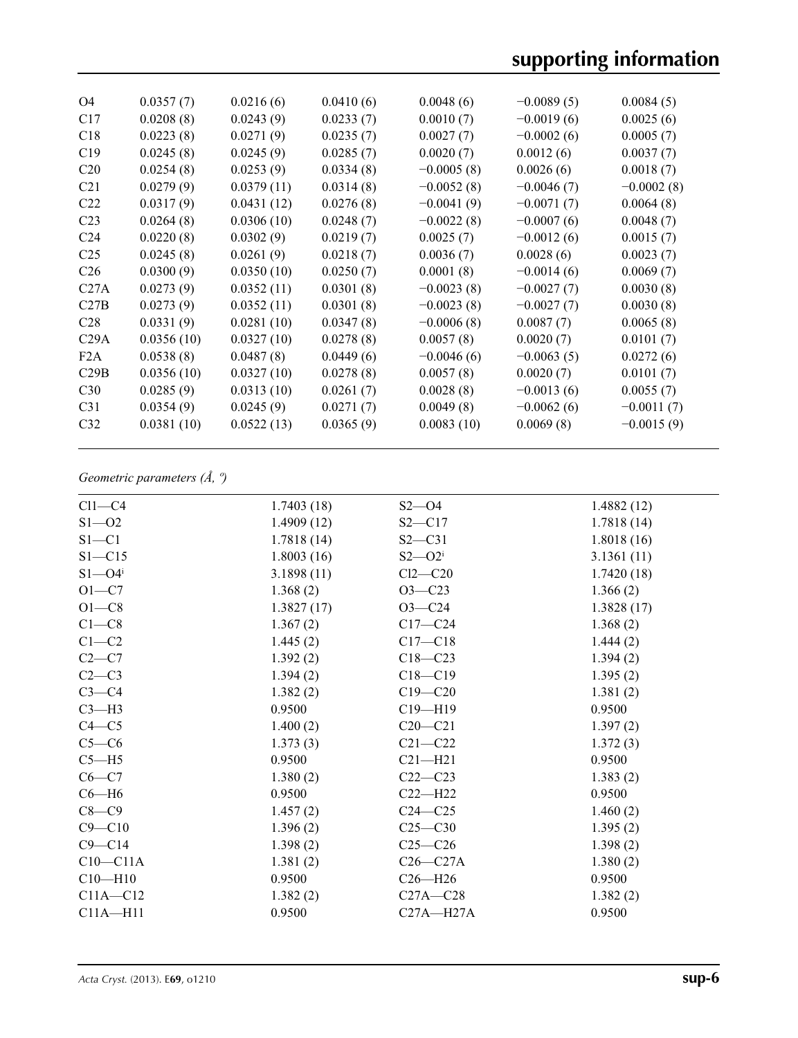| O <sub>4</sub>   | 0.0357(7)  | 0.0216(6)  | 0.0410(6) | 0.0048(6)    | $-0.0089(5)$ | 0.0084(5)    |
|------------------|------------|------------|-----------|--------------|--------------|--------------|
| C17              | 0.0208(8)  | 0.0243(9)  | 0.0233(7) | 0.0010(7)    | $-0.0019(6)$ | 0.0025(6)    |
| C18              | 0.0223(8)  | 0.0271(9)  | 0.0235(7) | 0.0027(7)    | $-0.0002(6)$ | 0.0005(7)    |
| C19              | 0.0245(8)  | 0.0245(9)  | 0.0285(7) | 0.0020(7)    | 0.0012(6)    | 0.0037(7)    |
| C <sub>20</sub>  | 0.0254(8)  | 0.0253(9)  | 0.0334(8) | $-0.0005(8)$ | 0.0026(6)    | 0.0018(7)    |
| C <sub>21</sub>  | 0.0279(9)  | 0.0379(11) | 0.0314(8) | $-0.0052(8)$ | $-0.0046(7)$ | $-0.0002(8)$ |
| C <sub>22</sub>  | 0.0317(9)  | 0.0431(12) | 0.0276(8) | $-0.0041(9)$ | $-0.0071(7)$ | 0.0064(8)    |
| C <sub>23</sub>  | 0.0264(8)  | 0.0306(10) | 0.0248(7) | $-0.0022(8)$ | $-0.0007(6)$ | 0.0048(7)    |
| C <sub>24</sub>  | 0.0220(8)  | 0.0302(9)  | 0.0219(7) | 0.0025(7)    | $-0.0012(6)$ | 0.0015(7)    |
| C <sub>25</sub>  | 0.0245(8)  | 0.0261(9)  | 0.0218(7) | 0.0036(7)    | 0.0028(6)    | 0.0023(7)    |
| C <sub>26</sub>  | 0.0300(9)  | 0.0350(10) | 0.0250(7) | 0.0001(8)    | $-0.0014(6)$ | 0.0069(7)    |
| C27A             | 0.0273(9)  | 0.0352(11) | 0.0301(8) | $-0.0023(8)$ | $-0.0027(7)$ | 0.0030(8)    |
| C27B             | 0.0273(9)  | 0.0352(11) | 0.0301(8) | $-0.0023(8)$ | $-0.0027(7)$ | 0.0030(8)    |
| C <sub>28</sub>  | 0.0331(9)  | 0.0281(10) | 0.0347(8) | $-0.0006(8)$ | 0.0087(7)    | 0.0065(8)    |
| C29A             | 0.0356(10) | 0.0327(10) | 0.0278(8) | 0.0057(8)    | 0.0020(7)    | 0.0101(7)    |
| F <sub>2</sub> A | 0.0538(8)  | 0.0487(8)  | 0.0449(6) | $-0.0046(6)$ | $-0.0063(5)$ | 0.0272(6)    |
| C29B             | 0.0356(10) | 0.0327(10) | 0.0278(8) | 0.0057(8)    | 0.0020(7)    | 0.0101(7)    |
| C30              | 0.0285(9)  | 0.0313(10) | 0.0261(7) | 0.0028(8)    | $-0.0013(6)$ | 0.0055(7)    |
| C <sub>31</sub>  | 0.0354(9)  | 0.0245(9)  | 0.0271(7) | 0.0049(8)    | $-0.0062(6)$ | $-0.0011(7)$ |
| C <sub>32</sub>  | 0.0381(10) | 0.0522(13) | 0.0365(9) | 0.0083(10)   | 0.0069(8)    | $-0.0015(9)$ |
|                  |            |            |           |              |              |              |

### *Geometric parameters (Å, º)*

| $Cl1-C4$               | 1.7403(18) | $S2 - 04$     | 1.4882(12) |
|------------------------|------------|---------------|------------|
| $S1 - 02$              | 1.4909(12) | $S2 - C17$    | 1.7818(14) |
| $S1 - C1$              | 1.7818(14) | $S2 - C31$    | 1.8018(16) |
| $S1 - C15$             | 1.8003(16) | $S2 - O2^i$   | 3.1361(11) |
| $S1 - O4$ <sup>i</sup> | 3.1898(11) | $Cl2-C20$     | 1.7420(18) |
| $O1-C7$                | 1.368(2)   | $O3 - C23$    | 1.366(2)   |
| $O1-C8$                | 1.3827(17) | $O3 - C24$    | 1.3828(17) |
| $C1-C8$                | 1.367(2)   | $C17 - C24$   | 1.368(2)   |
| $C1-C2$                | 1.445(2)   | $C17 - C18$   | 1.444(2)   |
| $C2-C7$                | 1.392(2)   | $C18 - C23$   | 1.394(2)   |
| $C2-C3$                | 1.394(2)   | $C18 - C19$   | 1.395(2)   |
| $C3-C4$                | 1.382(2)   | $C19 - C20$   | 1.381(2)   |
| $C3-H3$                | 0.9500     | $C19 - H19$   | 0.9500     |
| $C4 - C5$              | 1.400(2)   | $C20 - C21$   | 1.397(2)   |
| $C5-C6$                | 1.373(3)   | $C21 - C22$   | 1.372(3)   |
| $C5 - H5$              | 0.9500     | $C21 - H21$   | 0.9500     |
| $C6-C7$                | 1.380(2)   | $C22-C23$     | 1.383(2)   |
| $C6 - H6$              | 0.9500     | $C22-H22$     | 0.9500     |
| $C8-C9$                | 1.457(2)   | $C24 - C25$   | 1.460(2)   |
| $C9 - C10$             | 1.396(2)   | $C25 - C30$   | 1.395(2)   |
| $C9 - C14$             | 1.398(2)   | $C25-C26$     | 1.398(2)   |
| $C10-C11A$             | 1.381(2)   | $C26-C27A$    | 1.380(2)   |
| $C10 - H10$            | 0.9500     | $C26 - H26$   | 0.9500     |
| $C11A - C12$           | 1.382(2)   | $C27A - C28$  | 1.382(2)   |
| $C11A - H11$           | 0.9500     | $C27A - H27A$ | 0.9500     |
|                        |            |               |            |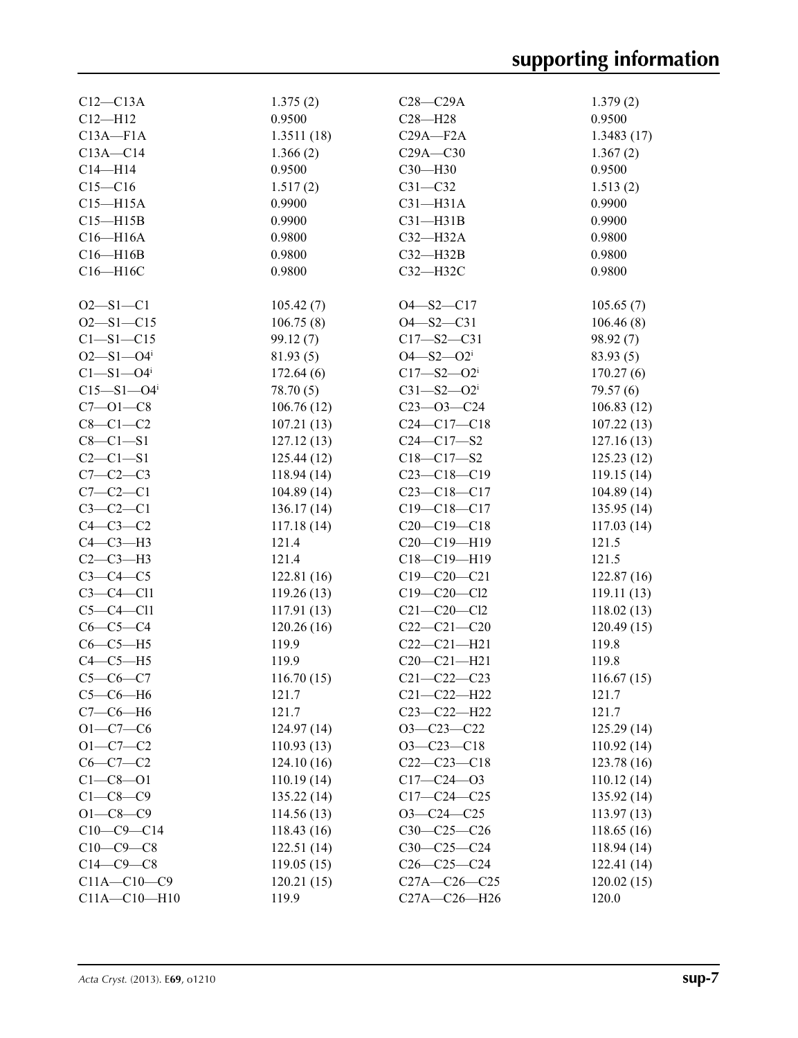| $C12-C13A$                   | 1.375(2)    | $C28 - C29A$                 | 1.379(2)    |
|------------------------------|-------------|------------------------------|-------------|
| $C12 - H12$                  | 0.9500      | $C28 - H28$                  | 0.9500      |
| $C13A - F1A$                 | 1.3511(18)  | $C29A - F2A$                 | 1.3483(17)  |
| $C13A - C14$                 | 1.366(2)    | $C29A - C30$                 | 1.367(2)    |
| $C14 - H14$                  | 0.9500      | C30-H30                      | 0.9500      |
| $C15-C16$                    | 1.517(2)    | $C31 - C32$                  | 1.513(2)    |
| $C15 - H15A$                 | 0.9900      | $C31 - H31A$                 | 0.9900      |
| $C15 - H15B$                 | 0.9900      | $C31 - H31B$                 | 0.9900      |
| $C16 - H16A$                 | 0.9800      | $C32-H32A$                   | 0.9800      |
|                              |             |                              |             |
| $C16 - H16B$                 | 0.9800      | $C32 - H32B$                 | 0.9800      |
| C16-H16C                     | 0.9800      | C32-H32C                     | 0.9800      |
| $O2 - S1 - C1$               | 105.42(7)   | $O4 - S2 - C17$              | 105.65(7)   |
| $O2 - S1 - C15$              | 106.75(8)   | $O4 - S2 - C31$              | 106.46(8)   |
|                              |             |                              |             |
| $C1 - S1 - C15$              | 99.12(7)    | $C17 - S2 - C31$             | 98.92(7)    |
| $O2 - S1 - O4$               | 81.93(5)    | $O4 - S2 - O2$ <sup>i</sup>  | 83.93(5)    |
| $C1 - S1 - O4$ <sup>i</sup>  | 172.64(6)   | $C17 - S2 - O2$ <sup>i</sup> | 170.27(6)   |
| $C15 - S1 - O4$ <sup>i</sup> | 78.70(5)    | $C31 - S2 - O2$ <sup>i</sup> | 79.57(6)    |
| $C7 - 01 - C8$               | 106.76(12)  | $C23 - 03 - C24$             | 106.83(12)  |
| $C8-C1-C2$                   | 107.21(13)  | $C24 - C17 - C18$            | 107.22(13)  |
| $C8-C1-S1$                   | 127.12(13)  | $C24 - C17 - S2$             | 127.16(13)  |
| $C2 - C1 - S1$               | 125.44(12)  | $C18 - C17 - S2$             | 125.23(12)  |
| $C7-C2-C3$                   | 118.94 (14) | $C23-C18-C19$                | 119.15(14)  |
| $C7-C2-C1$                   | 104.89(14)  | $C23 - C18 - C17$            | 104.89(14)  |
| $C3-C2-C1$                   | 136.17(14)  | $C19 - C18 - C17$            | 135.95(14)  |
| $C4-C3-C2$                   | 117.18(14)  | $C20-C19-C18$                | 117.03(14)  |
| $C4-C3-H3$                   | 121.4       | $C20-C19-H19$                | 121.5       |
| $C2-C3-H3$                   | 121.4       | C18-C19-H19                  | 121.5       |
| $C3-C4-C5$                   | 122.81(16)  | $C19 - C20 - C21$            | 122.87(16)  |
| $C3-C4-C11$                  | 119.26(13)  | $C19 - C20 - C12$            | 119.11(13)  |
| $C5-C4-C11$                  | 117.91(13)  | $C21 - C20 - C12$            | 118.02(13)  |
| $C6-C5-C4$                   | 120.26(16)  | $C22-C21-C20$                | 120.49(15)  |
| $C6-C5-H5$                   | 119.9       | $C22-C21-H21$                | 119.8       |
| $C4-C5-H5$                   | 119.9       | $C20 - C21 - H21$            | 119.8       |
| $C5-C6-C7$                   | 116.70(15)  | $C21 - C22 - C23$            | 116.67(15)  |
|                              |             |                              |             |
| $C5-C6-H6$                   | 121.7       | $C21 - C22 - H22$            | 121.7       |
| $C7-C6-H6$                   | 121.7       | $C23 - C22 - H22$            | 121.7       |
| $O1 - C7 - C6$               | 124.97(14)  | $O3 - C23 - C22$             | 125.29(14)  |
| $O1 - C7 - C2$               | 110.93(13)  | $O3 - C23 - C18$             | 110.92(14)  |
| $C6-C7-C2$                   | 124.10(16)  | $C22-C23-C18$                | 123.78(16)  |
| $C1 - C8 - O1$               | 110.19(14)  | $C17 - C24 - 03$             | 110.12(14)  |
| $C1-C8-C9$                   | 135.22(14)  | $C17 - C24 - C25$            | 135.92 (14) |
| $O1 - C8 - C9$               | 114.56(13)  | $O3 - C24 - C25$             | 113.97(13)  |
| $C10-C9-C14$                 | 118.43(16)  | $C30 - C25 - C26$            | 118.65 (16) |
| $C10-C9-C8$                  | 122.51(14)  | $C30-C25-C24$                | 118.94 (14) |
| $C14-C9-C8$                  | 119.05(15)  | $C26 - C25 - C24$            | 122.41 (14) |
| $C11A - C10 - C9$            | 120.21(15)  | $C27A - C26 - C25$           | 120.02(15)  |
| $C11A - C10 - H10$           | 119.9       | C27A-C26-H26                 | 120.0       |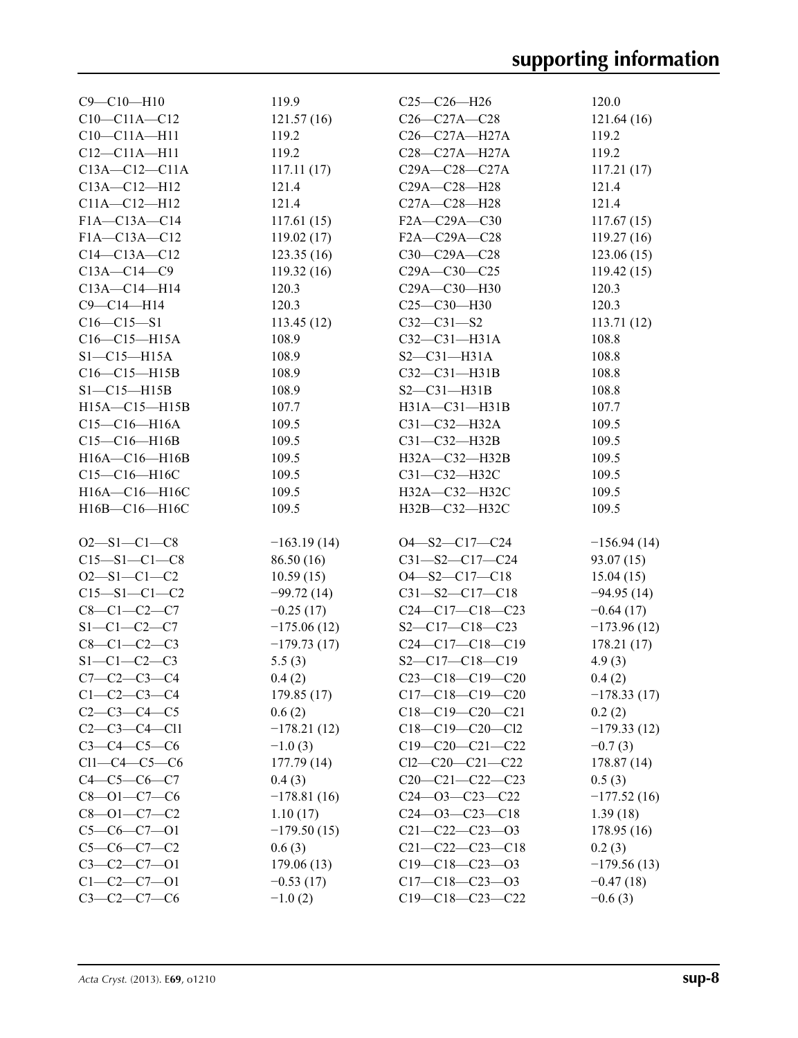| $C9 - C10 - H10$                      | 119.9         | $C25-C26-H26$                         | 120.0         |
|---------------------------------------|---------------|---------------------------------------|---------------|
| $C10-C11A-C12$                        | 121.57(16)    | $C26 - C27A - C28$                    | 121.64(16)    |
| $C10-C11A-H11$                        | 119.2         | $C26-C27A-H27A$                       | 119.2         |
| $C12 - C11A - H11$                    | 119.2         | C28-C27A-H27A                         | 119.2         |
| $C13A - C12 - C11A$                   | 117.11(17)    | $C29A - C28 - C27A$                   | 117.21(17)    |
| C13A-C12-H12                          | 121.4         | C29A-C28-H28                          | 121.4         |
| C11A-C12-H12                          | 121.4         | C27A-C28-H28                          | 121.4         |
| F1A-C13A-C14                          | 117.61(15)    | F2A-C29A-C30                          | 117.67(15)    |
| F1A-C13A-C12                          | 119.02(17)    | F2A-C29A-C28                          | 119.27(16)    |
| $C14-C13A-C12$                        | 123.35(16)    | $C30-C29A-C28$                        | 123.06(15)    |
| $C13A - C14 - C9$                     | 119.32(16)    | $C29A - C30 - C25$                    | 119.42(15)    |
| $C13A - C14 - H14$                    | 120.3         | C29A-C30-H30                          | 120.3         |
| C9-C14-H14                            | 120.3         | $C25 - C30 - H30$                     | 120.3         |
| $C16 - C15 - S1$                      | 113.45(12)    | $C32 - C31 - S2$                      | 113.71(12)    |
| C16-C15-H15A                          | 108.9         | $C32-C31-H31A$                        | 108.8         |
| $S1 - C15 - H15A$                     | 108.9         | $S2-C31-H31A$                         | 108.8         |
| $C16-C15-H15B$                        | 108.9         | $C32 - C31 - H31B$                    | 108.8         |
| $S1 - C15 - H15B$                     | 108.9         | $S2-C31-H31B$                         | 108.8         |
| $H15A - C15 - H15B$                   | 107.7         | H31A-C31-H31B                         | 107.7         |
| $C15-C16-H16A$                        | 109.5         | $C31 - C32 - H32A$                    | 109.5         |
| $C15-C16-H16B$                        | 109.5         | $C31 - C32 - H32B$                    | 109.5         |
| $H16A - C16 - H16B$                   | 109.5         | H32A-C32-H32B                         | 109.5         |
| C15-C16-H16C                          | 109.5         | C31-C32-H32C                          | 109.5         |
| H16A-C16-H16C                         | 109.5         | H32A-C32-H32C                         | 109.5         |
| H16B-C16-H16C                         | 109.5         | H32B-C32-H32C                         | 109.5         |
|                                       |               |                                       |               |
| $O2 - S1 - C1 - C8$                   | $-163.19(14)$ | $O4 - S2 - C17 - C24$                 | $-156.94(14)$ |
| $C15 - S1 - C1 - C8$                  | 86.50(16)     | $C31 - S2 - C17 - C24$                | 93.07(15)     |
| $O2 - S1 - C1 - C2$                   | 10.59(15)     | $O4 - S2 - C17 - C18$                 | 15.04(15)     |
| $C15 - S1 - C1 - C2$                  | $-99.72(14)$  | $C31 - S2 - C17 - C18$                | $-94.95(14)$  |
| $C8 - C1 - C2 - C7$                   | $-0.25(17)$   | $C24-C17-C18-C23$                     | $-0.64(17)$   |
| $S1 - C1 - C2 - C7$                   | $-175.06(12)$ | $S2 - C17 - C18 - C23$                | $-173.96(12)$ |
| $C8 - C1 - C2 - C3$                   | $-179.73(17)$ | $C24-C17-C18-C19$                     | 178.21(17)    |
| $S1 - C1 - C2 - C3$                   | 5.5(3)        | $S2 - C17 - C18 - C19$                | 4.9(3)        |
| $C7 - C2 - C3 - C4$                   | 0.4(2)        | $C23-C18-C19-C20$                     |               |
| $C1 - C2 - C3 - C4$                   |               | $C17-C18-C19-C20$                     | 0.4(2)        |
| $C2 - C3 - C4 - C5$                   | 179.85(17)    |                                       | $-178.33(17)$ |
|                                       | 0.6(2)        | $C18-C19-C20-C21$                     | 0.2(2)        |
| $C2-C3-C4-C11$<br>$C3 - C4 - C5 - C6$ | $-178.21(12)$ | $C18-C19-C20-C12$                     | $-179.33(12)$ |
|                                       | $-1.0(3)$     | $C19-C20-C21-C22$                     | $-0.7(3)$     |
| $Cl1-C4-C5-C6$                        | 177.79(14)    | $Cl2-C20-C21-C22$                     | 178.87(14)    |
| $C4 - C5 - C6 - C7$                   | 0.4(3)        | $C20-C21-C22-C23$                     | 0.5(3)        |
| $C8 - 01 - C7 - C6$                   | $-178.81(16)$ | $C24 - 03 - C23 - C22$                | $-177.52(16)$ |
| $C8 - 01 - C7 - C2$                   | 1.10(17)      | $C24 - 03 - C23 - C18$                | 1.39(18)      |
| $C5-C6-C7-01$                         | $-179.50(15)$ | $C21 - C22 - C23 - 03$                | 178.95(16)    |
| $C5-C6-C7-C2$                         | 0.6(3)        | $C21 - C22 - C23 - C18$               | 0.2(3)        |
| $C3-C2-C7-01$                         | 179.06(13)    | $C19-C18-C23-03$                      | $-179.56(13)$ |
| $C1 - C2 - C7 - 01$                   | $-0.53(17)$   | $C17-C18-C23-03$<br>$C19-C18-C23-C22$ | $-0.47(18)$   |
| $C3 - C2 - C7 - C6$                   | $-1.0(2)$     |                                       | $-0.6(3)$     |